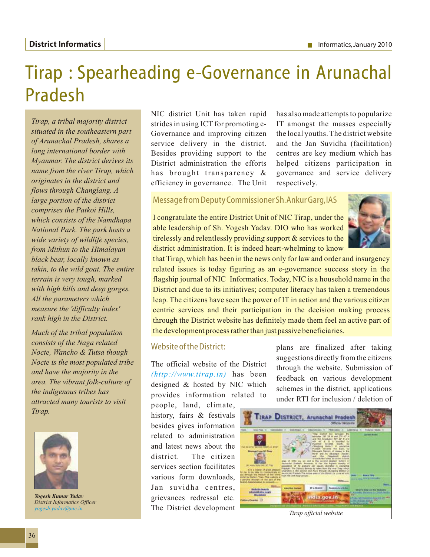## Tirap : Spearheading e-Governance in Arunachal Pradesh

*Tirap, a tribal majority district situated in the southeastern part of Arunachal Pradesh, shares a long international border with Myanmar. The district derives its name from the river Tirap, which originates in the district and flows through Changlang. A large portion of the district comprises the Patkoi Hills, which consists of the Namdhapa National Park. The park hosts a wide variety of wildlife species, from Mithun to the Himalayan black bear, locally known as takin, to the wild goat. The entire terrain is very tough, marked with high hills and deep gorges. All the parameters which measure the 'difficulty index' rank high in the District.*

*Much of the tribal population consists of the Naga related Nocte, Wancho & Tutsa though Nocte is the most populated tribe and have the majority in the area. The vibrant folk-culture of the indigenous tribes has attracted many tourists to visit Tirap.*



*Yogesh Kumar Yadav District Informatics Officer yogesh.yadav@nic.in* 

NIC district Unit has taken rapid strides in using ICT for promoting e-Governance and improving citizen service delivery in the district. Besides providing support to the District administration the efforts has brought transparency & efficiency in governance. The Unit

has also made attempts to popularize IT amongst the masses especially the local youths. The district website and the Jan Suvidha (facilitation) centres are key medium which has helped citizens participation in governance and service delivery respectively.

## Message from Deputy Commissioner Sh.Ankur Garg,IAS

I congratulate the entire District Unit of NIC Tirap, under the able leadership of Sh. Yogesh Yadav. DIO who has worked tirelessly and relentlessly providing support & services to the district administration. It is indeed heart-whelming to know



that Tirap, which has been in the news only for law and order and insurgency related issues is today figuring as an e-governance success story in the flagship journal of NIC Informatics. Today, NIC is a household name in the District and due to its initiatives; computer literacy has taken a tremendous leap. The citizens have seen the power of IT in action and the various citizen centric services and their participation in the decision making process through the District website has definitely made them feel an active part of the development process rather than just passive beneficiaries.

## Website of the District:

The official website of the District  $(http://www.tirap.in)$  has been designed & hosted by NIC which provides information related to

people, land, climate, history, fairs & festivals besides gives information related to administration and latest news about the district. The citizen services section facilitates various form downloads, Jan suvidha centres, grievances redressal etc. The District development plans are finalized after taking suggestions directly from the citizens through the website. Submission of feedback on various development schemes in the district, applications under RTI for inclusion / deletion of